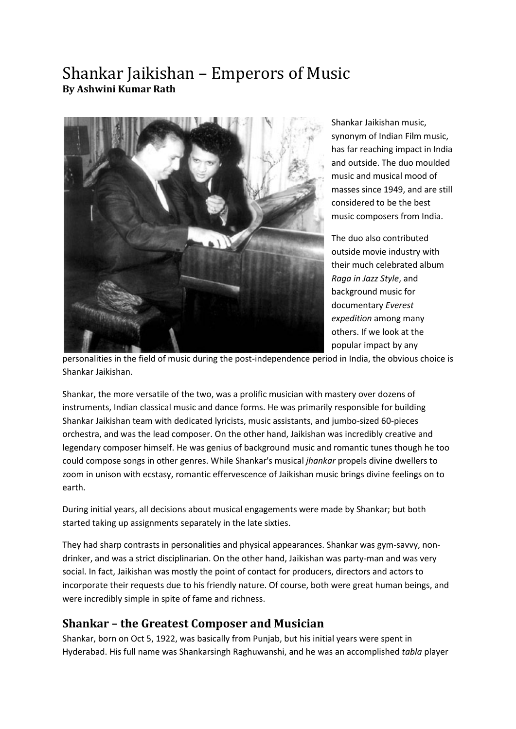# Shankar Jaikishan – Emperors of Music **By Ashwini Kumar Rath**



Shankar Jaikishan music, synonym of Indian Film music, has far reaching impact in India and outside. The duo moulded music and musical mood of masses since 1949, and are still considered to be the best music composers from India.

The duo also contributed outside movie industry with their much celebrated album *Raga in Jazz Style*, and background music for documentary *Everest expedition* among many others. If we look at the popular impact by any

personalities in the field of music during the post-independence period in India, the obvious choice is Shankar Jaikishan.

Shankar, the more versatile of the two, was a prolific musician with mastery over dozens of instruments, Indian classical music and dance forms. He was primarily responsible for building Shankar Jaikishan team with dedicated lyricists, music assistants, and jumbo-sized 60-pieces orchestra, and was the lead composer. On the other hand, Jaikishan was incredibly creative and legendary composer himself. He was genius of background music and romantic tunes though he too could compose songs in other genres. While Shankar's musical *jhankar* propels divine dwellers to zoom in unison with ecstasy, romantic effervescence of Jaikishan music brings divine feelings on to earth.

During initial years, all decisions about musical engagements were made by Shankar; but both started taking up assignments separately in the late sixties.

They had sharp contrasts in personalities and physical appearances. Shankar was gym-savvy, nondrinker, and was a strict disciplinarian. On the other hand, Jaikishan was party-man and was very social. In fact, Jaikishan was mostly the point of contact for producers, directors and actors to incorporate their requests due to his friendly nature. Of course, both were great human beings, and were incredibly simple in spite of fame and richness.

#### **Shankar – the Greatest Composer and Musician**

Shankar, born on Oct 5, 1922, was basically from Punjab, but his initial years were spent in Hyderabad. His full name was Shankarsingh Raghuwanshi, and he was an accomplished *tabla* player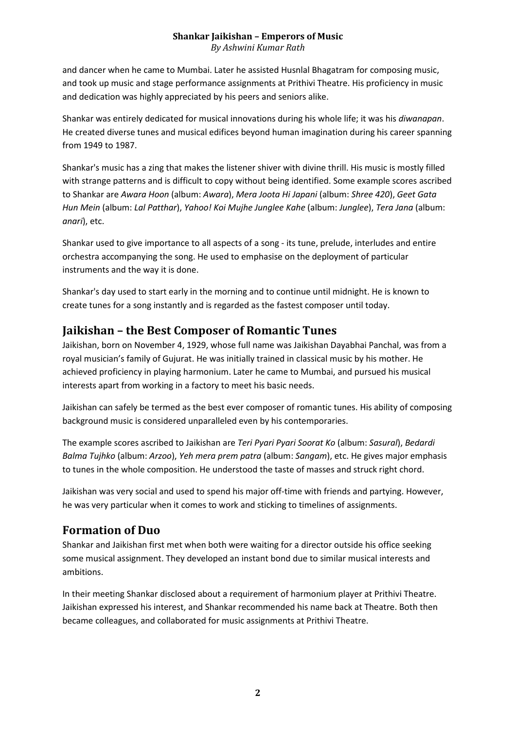*By Ashwini Kumar Rath*

and dancer when he came to Mumbai. Later he assisted Husnlal Bhagatram for composing music, and took up music and stage performance assignments at Prithivi Theatre. His proficiency in music and dedication was highly appreciated by his peers and seniors alike.

Shankar was entirely dedicated for musical innovations during his whole life; it was his *diwanapan*. He created diverse tunes and musical edifices beyond human imagination during his career spanning from 1949 to 1987.

Shankar's music has a zing that makes the listener shiver with divine thrill. His music is mostly filled with strange patterns and is difficult to copy without being identified. Some example scores ascribed to Shankar are *Awara Hoon* (album: *Awara*), *Mera Joota Hi Japani* (album: *Shree 420*), *Geet Gata Hun Mein* (album: *Lal Patthar*), *Yahoo! Koi Mujhe Junglee Kahe* (album: *Junglee*), *Tera Jana* (album: *anari*), etc.

Shankar used to give importance to all aspects of a song - its tune, prelude, interludes and entire orchestra accompanying the song. He used to emphasise on the deployment of particular instruments and the way it is done.

Shankar's day used to start early in the morning and to continue until midnight. He is known to create tunes for a song instantly and is regarded as the fastest composer until today.

### **Jaikishan – the Best Composer of Romantic Tunes**

Jaikishan, born on November 4, 1929, whose full name was Jaikishan Dayabhai Panchal, was from a royal musician's family of Gujurat. He was initially trained in classical music by his mother. He achieved proficiency in playing harmonium. Later he came to Mumbai, and pursued his musical interests apart from working in a factory to meet his basic needs.

Jaikishan can safely be termed as the best ever composer of romantic tunes. His ability of composing background music is considered unparalleled even by his contemporaries.

The example scores ascribed to Jaikishan are *Teri Pyari Pyari Soorat Ko* (album: *Sasural*), *Bedardi Balma Tujhko* (album: *Arzoo*), *Yeh mera prem patra* (album: *Sangam*), etc. He gives major emphasis to tunes in the whole composition. He understood the taste of masses and struck right chord.

Jaikishan was very social and used to spend his major off-time with friends and partying. However, he was very particular when it comes to work and sticking to timelines of assignments.

### **Formation of Duo**

Shankar and Jaikishan first met when both were waiting for a director outside his office seeking some musical assignment. They developed an instant bond due to similar musical interests and ambitions.

In their meeting Shankar disclosed about a requirement of harmonium player at Prithivi Theatre. Jaikishan expressed his interest, and Shankar recommended his name back at Theatre. Both then became colleagues, and collaborated for music assignments at Prithivi Theatre.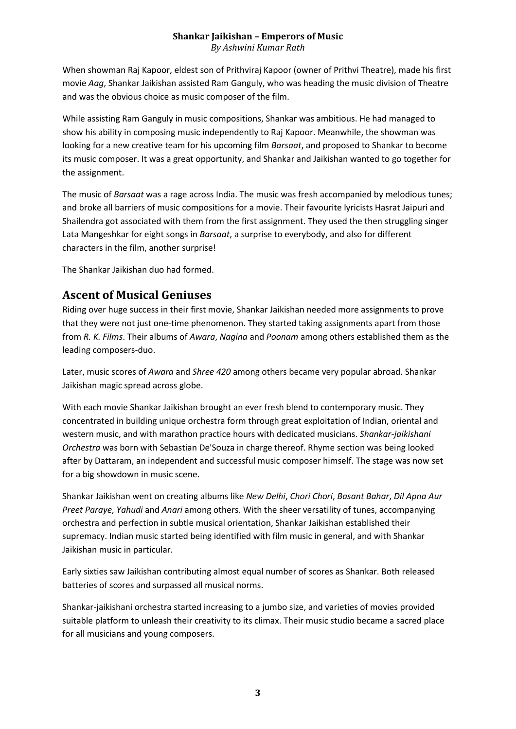#### **Shankar Jaikishan – Emperors of Music** *By Ashwini Kumar Rath*

When showman Raj Kapoor, eldest son of Prithviraj Kapoor (owner of Prithvi Theatre), made his first movie *Aag*, Shankar Jaikishan assisted Ram Ganguly, who was heading the music division of Theatre and was the obvious choice as music composer of the film.

While assisting Ram Ganguly in music compositions, Shankar was ambitious. He had managed to show his ability in composing music independently to Raj Kapoor. Meanwhile, the showman was looking for a new creative team for his upcoming film *Barsaat*, and proposed to Shankar to become its music composer. It was a great opportunity, and Shankar and Jaikishan wanted to go together for the assignment.

The music of *Barsaat* was a rage across India. The music was fresh accompanied by melodious tunes; and broke all barriers of music compositions for a movie. Their favourite lyricists Hasrat Jaipuri and Shailendra got associated with them from the first assignment. They used the then struggling singer Lata Mangeshkar for eight songs in *Barsaat*, a surprise to everybody, and also for different characters in the film, another surprise!

The Shankar Jaikishan duo had formed.

### **Ascent of Musical Geniuses**

Riding over huge success in their first movie, Shankar Jaikishan needed more assignments to prove that they were not just one-time phenomenon. They started taking assignments apart from those from *R. K. Films*. Their albums of *Awara*, *Nagina* and *Poonam* among others established them as the leading composers-duo.

Later, music scores of *Awara* and *Shree 420* among others became very popular abroad. Shankar Jaikishan magic spread across globe.

With each movie Shankar Jaikishan brought an ever fresh blend to contemporary music. They concentrated in building unique orchestra form through great exploitation of Indian, oriental and western music, and with marathon practice hours with dedicated musicians. *Shankar-jaikishani Orchestra* was born with Sebastian De'Souza in charge thereof. Rhyme section was being looked after by Dattaram, an independent and successful music composer himself. The stage was now set for a big showdown in music scene.

Shankar Jaikishan went on creating albums like *New Delhi*, *Chori Chori*, *Basant Bahar*, *Dil Apna Aur Preet Paraye*, *Yahudi* and *Anari* among others. With the sheer versatility of tunes, accompanying orchestra and perfection in subtle musical orientation, Shankar Jaikishan established their supremacy. Indian music started being identified with film music in general, and with Shankar Jaikishan music in particular.

Early sixties saw Jaikishan contributing almost equal number of scores as Shankar. Both released batteries of scores and surpassed all musical norms.

Shankar-jaikishani orchestra started increasing to a jumbo size, and varieties of movies provided suitable platform to unleash their creativity to its climax. Their music studio became a sacred place for all musicians and young composers.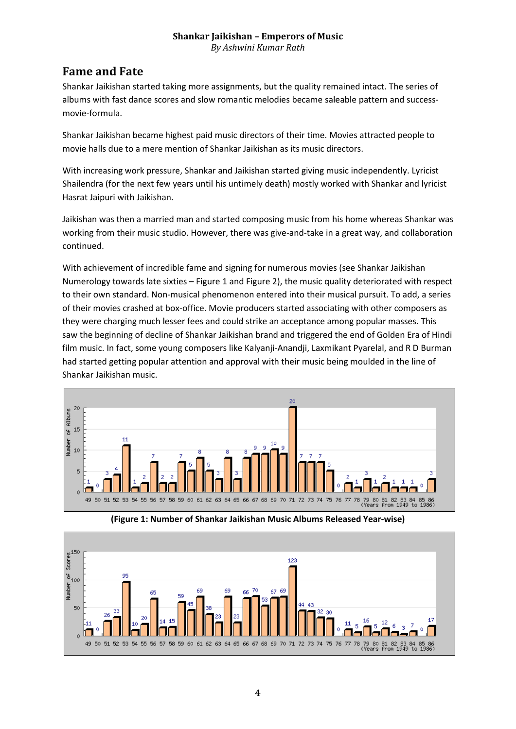*By Ashwini Kumar Rath*

### **Fame and Fate**

Shankar Jaikishan started taking more assignments, but the quality remained intact. The series of albums with fast dance scores and slow romantic melodies became saleable pattern and successmovie-formula.

Shankar Jaikishan became highest paid music directors of their time. Movies attracted people to movie halls due to a mere mention of Shankar Jaikishan as its music directors.

With increasing work pressure, Shankar and Jaikishan started giving music independently. Lyricist Shailendra (for the next few years until his untimely death) mostly worked with Shankar and lyricist Hasrat Jaipuri with Jaikishan.

Jaikishan was then a married man and started composing music from his home whereas Shankar was working from their music studio. However, there was give-and-take in a great way, and collaboration continued.

With achievement of incredible fame and signing for numerous movies (see Shankar Jaikishan Numerology towards late sixties – Figure 1 and Figure 2), the music quality deteriorated with respect to their own standard. Non-musical phenomenon entered into their musical pursuit. To add, a series of their movies crashed at box-office. Movie producers started associating with other composers as they were charging much lesser fees and could strike an acceptance among popular masses. This saw the beginning of decline of Shankar Jaikishan brand and triggered the end of Golden Era of Hindi film music. In fact, some young composers like Kalyanji-Anandji, Laxmikant Pyarelal, and R D Burman had started getting popular attention and approval with their music being moulded in the line of Shankar Jaikishan music.



**(Figure 1: Number of Shankar Jaikishan Music Albums Released Year-wise)**

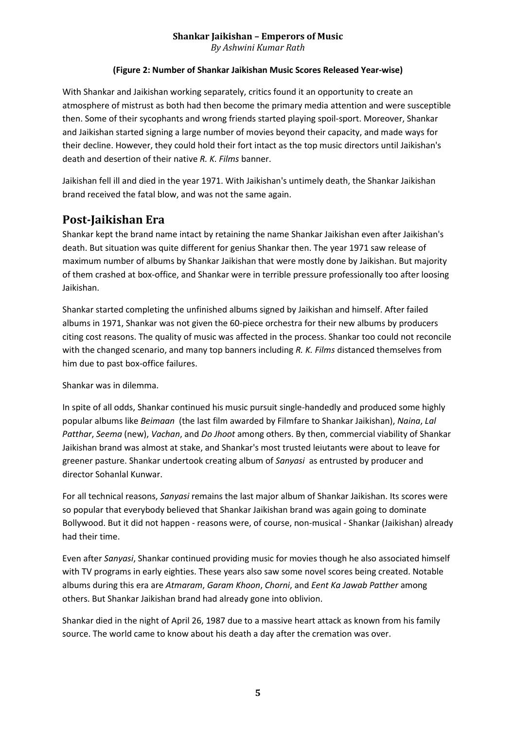*By Ashwini Kumar Rath*

#### **(Figure 2: Number of Shankar Jaikishan Music Scores Released Year-wise)**

With Shankar and Jaikishan working separately, critics found it an opportunity to create an atmosphere of mistrust as both had then become the primary media attention and were susceptible then. Some of their sycophants and wrong friends started playing spoil-sport. Moreover, Shankar and Jaikishan started signing a large number of movies beyond their capacity, and made ways for their decline. However, they could hold their fort intact as the top music directors until Jaikishan's death and desertion of their native *R. K. Films* banner.

Jaikishan fell ill and died in the year 1971. With Jaikishan's untimely death, the Shankar Jaikishan brand received the fatal blow, and was not the same again.

#### **Post-Jaikishan Era**

Shankar kept the brand name intact by retaining the name Shankar Jaikishan even after Jaikishan's death. But situation was quite different for genius Shankar then. The year 1971 saw release of maximum number of albums by Shankar Jaikishan that were mostly done by Jaikishan. But majority of them crashed at box-office, and Shankar were in terrible pressure professionally too after loosing Jaikishan.

Shankar started completing the unfinished albums signed by Jaikishan and himself. After failed albums in 1971, Shankar was not given the 60-piece orchestra for their new albums by producers citing cost reasons. The quality of music was affected in the process. Shankar too could not reconcile with the changed scenario, and many top banners including *R. K. Films* distanced themselves from him due to past box-office failures.

Shankar was in dilemma.

In spite of all odds, Shankar continued his music pursuit single-handedly and produced some highly popular albums like *Beimaan* (the last film awarded by Filmfare to Shankar Jaikishan), *Naina*, *Lal Patthar*, *Seema* (new), *Vachan*, and *Do Jhoot* among others. By then, commercial viability of Shankar Jaikishan brand was almost at stake, and Shankar's most trusted leiutants were about to leave for greener pasture. Shankar undertook creating album of *Sanyasi* as entrusted by producer and director Sohanlal Kunwar.

For all technical reasons, *Sanyasi* remains the last major album of Shankar Jaikishan. Its scores were so popular that everybody believed that Shankar Jaikishan brand was again going to dominate Bollywood. But it did not happen - reasons were, of course, non-musical - Shankar (Jaikishan) already had their time.

Even after *Sanyasi*, Shankar continued providing music for movies though he also associated himself with TV programs in early eighties. These years also saw some novel scores being created. Notable albums during this era are *Atmaram*, *Garam Khoon*, *Chorni*, and *Eent Ka Jawab Patther* among others. But Shankar Jaikishan brand had already gone into oblivion.

Shankar died in the night of April 26, 1987 due to a massive heart attack as known from his family source. The world came to know about his death a day after the cremation was over.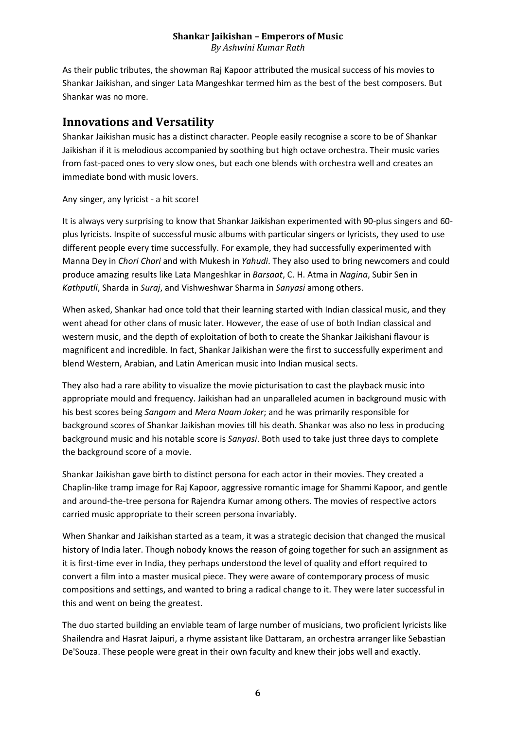#### **Shankar Jaikishan – Emperors of Music** *By Ashwini Kumar Rath*

As their public tributes, the showman Raj Kapoor attributed the musical success of his movies to Shankar Jaikishan, and singer Lata Mangeshkar termed him as the best of the best composers. But Shankar was no more.

#### **Innovations and Versatility**

Shankar Jaikishan music has a distinct character. People easily recognise a score to be of Shankar Jaikishan if it is melodious accompanied by soothing but high octave orchestra. Their music varies from fast-paced ones to very slow ones, but each one blends with orchestra well and creates an immediate bond with music lovers.

Any singer, any lyricist - a hit score!

It is always very surprising to know that Shankar Jaikishan experimented with 90-plus singers and 60 plus lyricists. Inspite of successful music albums with particular singers or lyricists, they used to use different people every time successfully. For example, they had successfully experimented with Manna Dey in *Chori Chori* and with Mukesh in *Yahudi*. They also used to bring newcomers and could produce amazing results like Lata Mangeshkar in *Barsaat*, C. H. Atma in *Nagina*, Subir Sen in *Kathputli*, Sharda in *Suraj*, and Vishweshwar Sharma in *Sanyasi* among others.

When asked, Shankar had once told that their learning started with Indian classical music, and they went ahead for other clans of music later. However, the ease of use of both Indian classical and western music, and the depth of exploitation of both to create the Shankar Jaikishani flavour is magnificent and incredible. In fact, Shankar Jaikishan were the first to successfully experiment and blend Western, Arabian, and Latin American music into Indian musical sects.

They also had a rare ability to visualize the movie picturisation to cast the playback music into appropriate mould and frequency. Jaikishan had an unparalleled acumen in background music with his best scores being *Sangam* and *Mera Naam Joker*; and he was primarily responsible for background scores of Shankar Jaikishan movies till his death. Shankar was also no less in producing background music and his notable score is *Sanyasi*. Both used to take just three days to complete the background score of a movie.

Shankar Jaikishan gave birth to distinct persona for each actor in their movies. They created a Chaplin-like tramp image for Raj Kapoor, aggressive romantic image for Shammi Kapoor, and gentle and around-the-tree persona for Rajendra Kumar among others. The movies of respective actors carried music appropriate to their screen persona invariably.

When Shankar and Jaikishan started as a team, it was a strategic decision that changed the musical history of India later. Though nobody knows the reason of going together for such an assignment as it is first-time ever in India, they perhaps understood the level of quality and effort required to convert a film into a master musical piece. They were aware of contemporary process of music compositions and settings, and wanted to bring a radical change to it. They were later successful in this and went on being the greatest.

The duo started building an enviable team of large number of musicians, two proficient lyricists like Shailendra and Hasrat Jaipuri, a rhyme assistant like Dattaram, an orchestra arranger like Sebastian De'Souza. These people were great in their own faculty and knew their jobs well and exactly.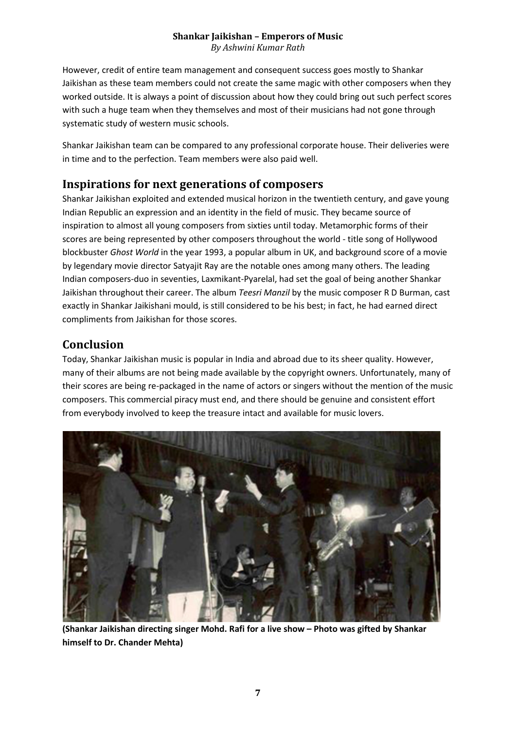*By Ashwini Kumar Rath*

However, credit of entire team management and consequent success goes mostly to Shankar Jaikishan as these team members could not create the same magic with other composers when they worked outside. It is always a point of discussion about how they could bring out such perfect scores with such a huge team when they themselves and most of their musicians had not gone through systematic study of western music schools.

Shankar Jaikishan team can be compared to any professional corporate house. Their deliveries were in time and to the perfection. Team members were also paid well.

#### **Inspirations for next generations of composers**

Shankar Jaikishan exploited and extended musical horizon in the twentieth century, and gave young Indian Republic an expression and an identity in the field of music. They became source of inspiration to almost all young composers from sixties until today. Metamorphic forms of their scores are being represented by other composers throughout the world - title song of Hollywood blockbuster *Ghost World* in the year 1993, a popular album in UK, and background score of a movie by legendary movie director Satyajit Ray are the notable ones among many others. The leading Indian composers-duo in seventies, Laxmikant-Pyarelal, had set the goal of being another Shankar Jaikishan throughout their career. The album *Teesri Manzil* by the music composer R D Burman, cast exactly in Shankar Jaikishani mould, is still considered to be his best; in fact, he had earned direct compliments from Jaikishan for those scores.

### **Conclusion**

Today, Shankar Jaikishan music is popular in India and abroad due to its sheer quality. However, many of their albums are not being made available by the copyright owners. Unfortunately, many of their scores are being re-packaged in the name of actors or singers without the mention of the music composers. This commercial piracy must end, and there should be genuine and consistent effort from everybody involved to keep the treasure intact and available for music lovers.



**(Shankar Jaikishan directing singer Mohd. Rafi for a live show – Photo was gifted by Shankar himself to Dr. Chander Mehta)**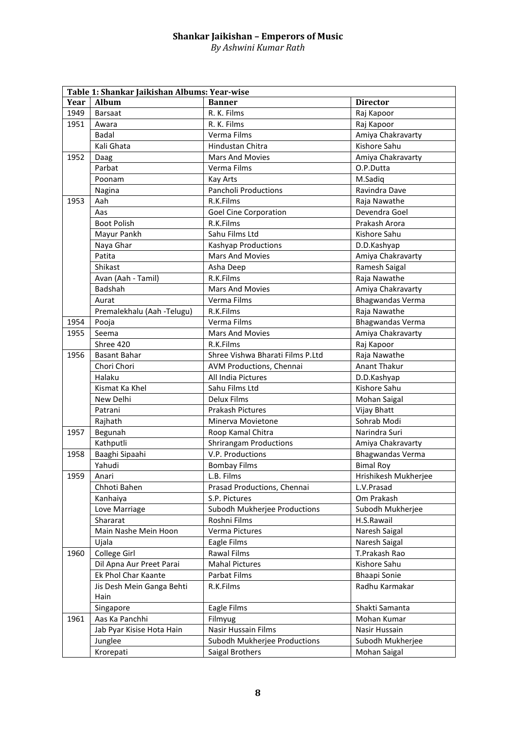*By Ashwini Kumar Rath*

| Table 1: Shankar Jaikishan Albums: Year-wise |                            |                                  |                         |  |  |
|----------------------------------------------|----------------------------|----------------------------------|-------------------------|--|--|
| Year                                         | Album                      | <b>Banner</b>                    | <b>Director</b>         |  |  |
| 1949                                         | <b>Barsaat</b>             | R. K. Films                      | Raj Kapoor              |  |  |
| 1951                                         | Awara                      | R. K. Films                      | Raj Kapoor              |  |  |
|                                              | Badal                      | Verma Films                      | Amiya Chakravarty       |  |  |
|                                              | Kali Ghata                 | <b>Hindustan Chitra</b>          | Kishore Sahu            |  |  |
| 1952                                         | Daag                       | Mars And Movies                  | Amiya Chakravarty       |  |  |
|                                              | Parbat                     | Verma Films                      | O.P.Dutta               |  |  |
|                                              | Poonam                     | Kay Arts                         | M.Sadiq                 |  |  |
|                                              | Nagina                     | Pancholi Productions             | Ravindra Dave           |  |  |
| 1953                                         | Aah                        | R.K.Films                        | Raja Nawathe            |  |  |
|                                              | Aas                        | <b>Goel Cine Corporation</b>     | Devendra Goel           |  |  |
|                                              | <b>Boot Polish</b>         | R.K.Films                        | Prakash Arora           |  |  |
|                                              | Mayur Pankh                | Sahu Films Ltd                   | Kishore Sahu            |  |  |
|                                              | Naya Ghar                  | Kashyap Productions              | D.D.Kashyap             |  |  |
|                                              | Patita                     | <b>Mars And Movies</b>           | Amiya Chakravarty       |  |  |
|                                              | Shikast                    | Asha Deep                        | Ramesh Saigal           |  |  |
|                                              | Avan (Aah - Tamil)         | R.K.Films                        | Raja Nawathe            |  |  |
|                                              | Badshah                    | Mars And Movies                  | Amiya Chakravarty       |  |  |
|                                              | Aurat                      | Verma Films                      | Bhagwandas Verma        |  |  |
|                                              | Premalekhalu (Aah -Telugu) | R.K.Films                        | Raja Nawathe            |  |  |
| 1954                                         | Pooja                      | Verma Films                      | <b>Bhagwandas Verma</b> |  |  |
| 1955                                         | Seema                      | <b>Mars And Movies</b>           | Amiya Chakravarty       |  |  |
|                                              | Shree 420                  | R.K.Films                        | Raj Kapoor              |  |  |
| 1956                                         | <b>Basant Bahar</b>        | Shree Vishwa Bharati Films P.Ltd | Raja Nawathe            |  |  |
|                                              | Chori Chori                | AVM Productions, Chennai         | <b>Anant Thakur</b>     |  |  |
|                                              | Halaku                     | All India Pictures               | D.D.Kashyap             |  |  |
|                                              | Kismat Ka Khel             | Sahu Films Ltd                   | Kishore Sahu            |  |  |
|                                              | New Delhi                  | <b>Delux Films</b>               | Mohan Saigal            |  |  |
|                                              | Patrani                    | <b>Prakash Pictures</b>          | Vijay Bhatt             |  |  |
|                                              | Rajhath                    | Minerva Movietone                | Sohrab Modi             |  |  |
| 1957                                         | Begunah                    | Roop Kamal Chitra                | Narindra Suri           |  |  |
|                                              | Kathputli                  | <b>Shrirangam Productions</b>    | Amiya Chakravarty       |  |  |
| 1958                                         | Baaghi Sipaahi             | V.P. Productions                 | <b>Bhagwandas Verma</b> |  |  |
|                                              | Yahudi                     | <b>Bombay Films</b>              | <b>Bimal Roy</b>        |  |  |
| 1959                                         | Anari                      | L.B. Films                       | Hrishikesh Mukherjee    |  |  |
|                                              | Chhoti Bahen               | Prasad Productions, Chennai      | L.V.Prasad              |  |  |
|                                              | Kanhaiya                   | S.P. Pictures                    | Om Prakash              |  |  |
|                                              | Love Marriage              | Subodh Mukherjee Productions     | Subodh Mukherjee        |  |  |
|                                              | Shararat                   | Roshni Films                     | H.S.Rawail              |  |  |
|                                              | Main Nashe Mein Hoon       | Verma Pictures                   | Naresh Saigal           |  |  |
|                                              | Ujala                      | Eagle Films                      | Naresh Saigal           |  |  |
| 1960                                         | College Girl               | <b>Rawal Films</b>               | T.Prakash Rao           |  |  |
|                                              | Dil Apna Aur Preet Parai   | <b>Mahal Pictures</b>            | Kishore Sahu            |  |  |
|                                              | Ek Phol Char Kaante        | Parbat Films                     | <b>Bhaapi Sonie</b>     |  |  |
|                                              | Jis Desh Mein Ganga Behti  | R.K.Films                        | Radhu Karmakar          |  |  |
|                                              | Hain                       |                                  |                         |  |  |
|                                              | Singapore                  | Eagle Films                      | Shakti Samanta          |  |  |
| 1961                                         | Aas Ka Panchhi             | Filmyug                          | Mohan Kumar             |  |  |
|                                              | Jab Pyar Kisise Hota Hain  | Nasir Hussain Films              | Nasir Hussain           |  |  |
|                                              | Junglee                    | Subodh Mukherjee Productions     | Subodh Mukherjee        |  |  |
|                                              | Krorepati                  | Saigal Brothers                  | Mohan Saigal            |  |  |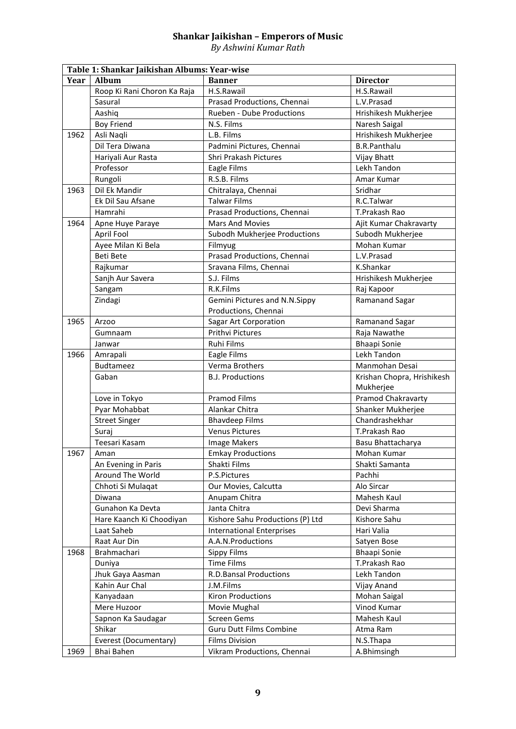*By Ashwini Kumar Rath*

| Table 1: Shankar Jaikishan Albums: Year-wise |                                 |                                                         |                            |  |  |
|----------------------------------------------|---------------------------------|---------------------------------------------------------|----------------------------|--|--|
| Year                                         | <b>Album</b>                    | <b>Banner</b>                                           | <b>Director</b>            |  |  |
|                                              | Roop Ki Rani Choron Ka Raja     | H.S.Rawail                                              | H.S.Rawail                 |  |  |
|                                              | Sasural                         | Prasad Productions, Chennai                             | L.V.Prasad                 |  |  |
|                                              | Aashiq                          | Rueben - Dube Productions                               | Hrishikesh Mukherjee       |  |  |
|                                              | <b>Boy Friend</b>               | N.S. Films                                              | Naresh Saigal              |  |  |
| 1962                                         | Asli Naqli                      | L.B. Films                                              | Hrishikesh Mukherjee       |  |  |
|                                              | Dil Tera Diwana                 | Padmini Pictures, Chennai                               | <b>B.R.Panthalu</b>        |  |  |
|                                              | Hariyali Aur Rasta              | <b>Shri Prakash Pictures</b>                            | Vijay Bhatt                |  |  |
|                                              | Professor                       | Eagle Films                                             | Lekh Tandon                |  |  |
|                                              | Rungoli                         | R.S.B. Films                                            | Amar Kumar                 |  |  |
| 1963                                         | Dil Ek Mandir                   | Chitralaya, Chennai                                     | Sridhar                    |  |  |
|                                              | Ek Dil Sau Afsane               | <b>Talwar Films</b>                                     | R.C.Talwar                 |  |  |
|                                              | Hamrahi                         | Prasad Productions, Chennai                             | T.Prakash Rao              |  |  |
| 1964                                         | Apne Huye Paraye                | <b>Mars And Movies</b>                                  | Ajit Kumar Chakravarty     |  |  |
|                                              | April Fool                      | Subodh Mukherjee Productions                            | Subodh Mukherjee           |  |  |
|                                              | Ayee Milan Ki Bela              | Filmyug                                                 | Mohan Kumar                |  |  |
|                                              | <b>Beti Bete</b>                | Prasad Productions, Chennai                             | L.V.Prasad                 |  |  |
|                                              | Rajkumar                        | Sravana Films, Chennai                                  | K.Shankar                  |  |  |
|                                              | Sanjh Aur Savera                | S.J. Films                                              | Hrishikesh Mukherjee       |  |  |
|                                              | Sangam                          | R.K.Films                                               | Raj Kapoor                 |  |  |
|                                              | Zindagi                         | Gemini Pictures and N.N.Sippy                           | Ramanand Sagar             |  |  |
|                                              |                                 | Productions, Chennai                                    |                            |  |  |
| 1965                                         | Arzoo                           | <b>Sagar Art Corporation</b>                            | Ramanand Sagar             |  |  |
|                                              | Gumnaam                         | <b>Prithvi Pictures</b>                                 | Raja Nawathe               |  |  |
|                                              | Janwar                          | Ruhi Films                                              | <b>Bhaapi Sonie</b>        |  |  |
| 1966                                         | Amrapali                        | Eagle Films                                             | Lekh Tandon                |  |  |
|                                              | <b>Budtameez</b>                | Verma Brothers                                          | Manmohan Desai             |  |  |
|                                              | Gaban                           | <b>B.J. Productions</b>                                 | Krishan Chopra, Hrishikesh |  |  |
|                                              |                                 |                                                         | Mukherjee                  |  |  |
|                                              | Love in Tokyo                   | <b>Pramod Films</b>                                     | Pramod Chakravarty         |  |  |
|                                              | Pyar Mohabbat                   | Alankar Chitra                                          | Shanker Mukherjee          |  |  |
|                                              | <b>Street Singer</b>            | <b>Bhavdeep Films</b>                                   | Chandrashekhar             |  |  |
|                                              | Suraj                           | <b>Venus Pictures</b>                                   | T.Prakash Rao              |  |  |
|                                              | Teesari Kasam                   | <b>Image Makers</b>                                     | Basu Bhattacharya          |  |  |
| 1967                                         | Aman                            | <b>Emkay Productions</b>                                | Mohan Kumar                |  |  |
|                                              | An Evening in Paris             | Shakti Films                                            | Shakti Samanta             |  |  |
|                                              | Around The World                | P.S.Pictures                                            | Pachhi                     |  |  |
|                                              | Chhoti Si Mulaqat               | Our Movies, Calcutta                                    | Alo Sircar                 |  |  |
|                                              | Diwana                          | Anupam Chitra                                           | Mahesh Kaul                |  |  |
|                                              | Gunahon Ka Devta                | Janta Chitra                                            | Devi Sharma                |  |  |
|                                              | Hare Kaanch Ki Choodiyan        | Kishore Sahu Productions (P) Ltd                        | Kishore Sahu               |  |  |
|                                              | Laat Saheb                      | <b>International Enterprises</b>                        | Hari Valia                 |  |  |
|                                              | Raat Aur Din                    | A.A.N.Productions                                       | Satyen Bose                |  |  |
| 1968                                         | Brahmachari                     | Sippy Films                                             | Bhaapi Sonie               |  |  |
|                                              | Duniya                          | <b>Time Films</b>                                       | T.Prakash Rao              |  |  |
|                                              | Jhuk Gaya Aasman                | <b>R.D.Bansal Productions</b>                           | Lekh Tandon                |  |  |
|                                              | Kahin Aur Chal                  | J.M.Films                                               | Vijay Anand                |  |  |
|                                              | Kanyadaan                       | <b>Kiron Productions</b>                                | Mohan Saigal               |  |  |
|                                              | Mere Huzoor                     | Movie Mughal                                            | Vinod Kumar                |  |  |
|                                              | Sapnon Ka Saudagar              | Screen Gems                                             | Mahesh Kaul                |  |  |
|                                              | Shikar<br>Everest (Documentary) | <b>Guru Dutt Films Combine</b><br><b>Films Division</b> | Atma Ram<br>N.S.Thapa      |  |  |
| 1969                                         | Bhai Bahen                      | Vikram Productions, Chennai                             | A.Bhimsingh                |  |  |
|                                              |                                 |                                                         |                            |  |  |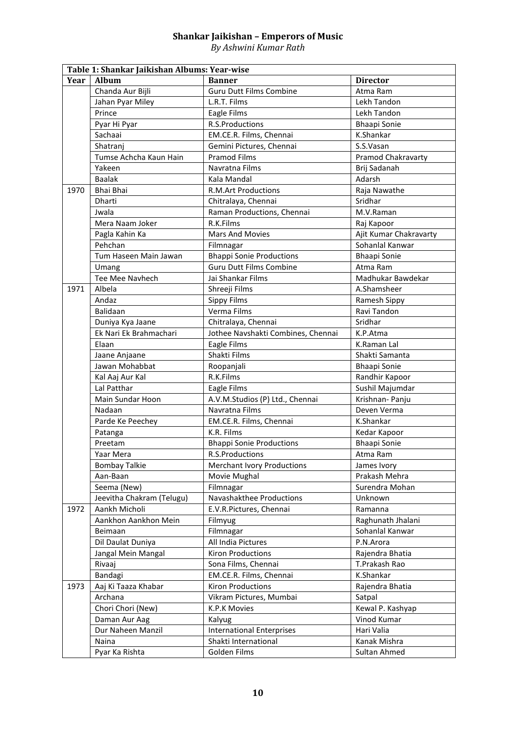*By Ashwini Kumar Rath*

|      | Table 1: Shankar Jaikishan Albums: Year-wise |                                    |                           |  |  |  |
|------|----------------------------------------------|------------------------------------|---------------------------|--|--|--|
| Year | <b>Album</b>                                 | <b>Banner</b>                      | <b>Director</b>           |  |  |  |
|      | Chanda Aur Bijli                             | <b>Guru Dutt Films Combine</b>     | Atma Ram                  |  |  |  |
|      | Jahan Pyar Miley                             | L.R.T. Films                       | Lekh Tandon               |  |  |  |
|      | Prince                                       | Eagle Films                        | Lekh Tandon               |  |  |  |
|      | Pyar Hi Pyar                                 | R.S.Productions                    | <b>Bhaapi Sonie</b>       |  |  |  |
|      | Sachaai                                      | EM.CE.R. Films, Chennai            | K.Shankar                 |  |  |  |
|      | Shatranj                                     | Gemini Pictures, Chennai           | S.S.Vasan                 |  |  |  |
|      | Tumse Achcha Kaun Hain                       | <b>Pramod Films</b>                | <b>Pramod Chakravarty</b> |  |  |  |
|      | Yakeen                                       | Navratna Films                     | Brij Sadanah              |  |  |  |
|      | <b>Baalak</b>                                | Kala Mandal                        | Adarsh                    |  |  |  |
| 1970 | Bhai Bhai                                    | <b>R.M.Art Productions</b>         | Raja Nawathe              |  |  |  |
|      | Dharti                                       | Chitralaya, Chennai                | Sridhar                   |  |  |  |
|      | Jwala                                        | Raman Productions, Chennai         | M.V.Raman                 |  |  |  |
|      | Mera Naam Joker                              | R.K.Films                          | Raj Kapoor                |  |  |  |
|      | Pagla Kahin Ka                               | <b>Mars And Movies</b>             | Ajit Kumar Chakravarty    |  |  |  |
|      | Pehchan                                      | Filmnagar                          | Sohanlal Kanwar           |  |  |  |
|      | Tum Haseen Main Jawan                        | <b>Bhappi Sonie Productions</b>    | <b>Bhaapi Sonie</b>       |  |  |  |
|      | Umang                                        | <b>Guru Dutt Films Combine</b>     | Atma Ram                  |  |  |  |
|      | Tee Mee Navhech                              | Jai Shankar Films                  | Madhukar Bawdekar         |  |  |  |
| 1971 | Albela                                       | Shreeji Films                      | A.Shamsheer               |  |  |  |
|      | Andaz                                        | Sippy Films                        | Ramesh Sippy              |  |  |  |
|      | Balidaan                                     | Verma Films                        | Ravi Tandon               |  |  |  |
|      | Duniya Kya Jaane                             | Chitralaya, Chennai                | Sridhar                   |  |  |  |
|      | Ek Nari Ek Brahmachari                       | Jothee Navshakti Combines, Chennai | K.P.Atma                  |  |  |  |
|      | Elaan                                        | Eagle Films                        | K.Raman Lal               |  |  |  |
|      | Jaane Anjaane                                | Shakti Films                       | Shakti Samanta            |  |  |  |
|      | Jawan Mohabbat                               | Roopanjali                         | <b>Bhaapi Sonie</b>       |  |  |  |
|      | Kal Aaj Aur Kal                              | R.K.Films                          | Randhir Kapoor            |  |  |  |
|      | Lal Patthar                                  | Eagle Films                        | Sushil Majumdar           |  |  |  |
|      | Main Sundar Hoon                             | A.V.M.Studios (P) Ltd., Chennai    | Krishnan- Panju           |  |  |  |
|      | Nadaan                                       | Navratna Films                     | Deven Verma               |  |  |  |
|      | Parde Ke Peechey                             | EM.CE.R. Films, Chennai            | K.Shankar                 |  |  |  |
|      | Patanga                                      | K.R. Films                         | Kedar Kapoor              |  |  |  |
|      | Preetam                                      | <b>Bhappi Sonie Productions</b>    | <b>Bhaapi Sonie</b>       |  |  |  |
|      | Yaar Mera                                    | R.S.Productions                    | Atma Ram                  |  |  |  |
|      | <b>Bombay Talkie</b>                         | <b>Merchant Ivory Productions</b>  | James Ivory               |  |  |  |
|      | Aan-Baan                                     | Movie Mughal                       | Prakash Mehra             |  |  |  |
|      | Seema (New)                                  | Filmnagar                          | Surendra Mohan            |  |  |  |
|      | Jeevitha Chakram (Telugu)                    | Navashakthee Productions           | Unknown                   |  |  |  |
| 1972 | Aankh Micholi                                | E.V.R.Pictures, Chennai            | Ramanna                   |  |  |  |
|      | Aankhon Aankhon Mein                         | Filmyug                            | Raghunath Jhalani         |  |  |  |
|      | Beimaan                                      | Filmnagar                          | Sohanlal Kanwar           |  |  |  |
|      | Dil Daulat Duniya                            | All India Pictures                 | P.N.Arora                 |  |  |  |
|      | Jangal Mein Mangal                           | <b>Kiron Productions</b>           | Rajendra Bhatia           |  |  |  |
|      | Rivaaj                                       | Sona Films, Chennai                | T.Prakash Rao             |  |  |  |
|      | Bandagi                                      | EM.CE.R. Films, Chennai            | K.Shankar                 |  |  |  |
| 1973 | Aaj Ki Taaza Khabar                          | <b>Kiron Productions</b>           | Rajendra Bhatia           |  |  |  |
|      | Archana                                      | Vikram Pictures, Mumbai            | Satpal                    |  |  |  |
|      | Chori Chori (New)                            | K.P.K Movies                       | Kewal P. Kashyap          |  |  |  |
|      | Daman Aur Aag                                | Kalyug                             | Vinod Kumar               |  |  |  |
|      | Dur Naheen Manzil                            | <b>International Enterprises</b>   | Hari Valia                |  |  |  |
|      | Naina                                        | Shakti International               | Kanak Mishra              |  |  |  |
|      | Pyar Ka Rishta                               | Golden Films                       | Sultan Ahmed              |  |  |  |